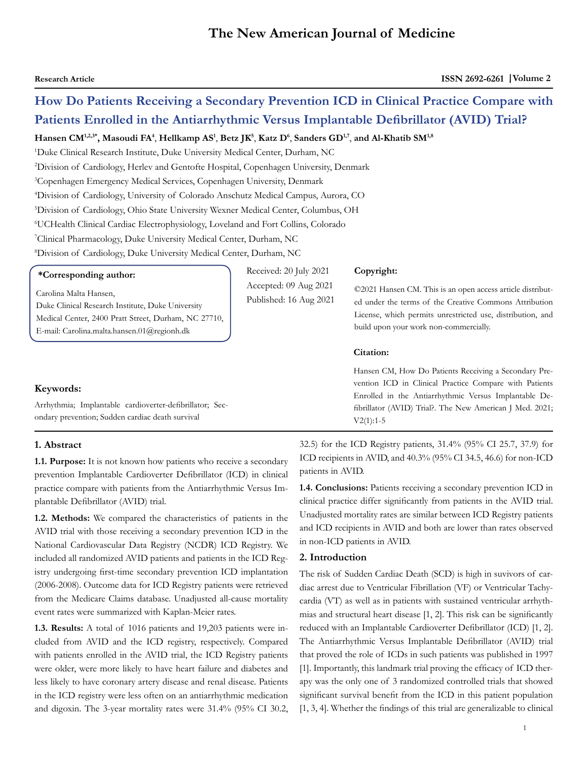# **The New American Journal of Medicine**

**Copyright:**

**Citation:** 

V2(1):1-5

# **How Do Patients Receiving a Secondary Prevention ICD in Clinical Practice Compare with Patients Enrolled in the Antiarrhythmic Versus Implantable Defibrillator (AVID) Trial?**

**Hansen CM1,2,3\*, Masoudi FA4** , **Hellkamp AS1** , **Betz JK5** , **Katz D6** , **Sanders GD1,7**, **and Al-Khatib SM1,8**

 Duke Clinical Research Institute, Duke University Medical Center, Durham, NC Division of Cardiology, Herlev and Gentofte Hospital, Copenhagen University, Denmark Copenhagen Emergency Medical Services, Copenhagen University, Denmark Division of Cardiology, University of Colorado Anschutz Medical Campus, Aurora, CO Division of Cardiology, Ohio State University Wexner Medical Center, Columbus, OH UCHealth Clinical Cardiac Electrophysiology, Loveland and Fort Collins, Colorado Clinical Pharmacology, Duke University Medical Center, Durham, NC Division of Cardiology, Duke University Medical Center, Durham, NC

| *Corresponding author:                               | Received: 20 July 2021 |  |  |
|------------------------------------------------------|------------------------|--|--|
|                                                      | Accepted: 09 Aug 2021  |  |  |
| Carolina Malta Hansen,                               | Published: 16 Aug 2021 |  |  |
| Duke Clinical Research Institute, Duke University    |                        |  |  |
| Medical Center, 2400 Pratt Street, Durham, NC 27710, |                        |  |  |

Arrhythmia; Implantable cardioverter-defibrillator; Secondary prevention; Sudden cardiac death survival

E-mail: Carolina.malta.hansen.01@regionh.dk

#### **1. Abstract**

**Keywords:**

**1.1. Purpose:** It is not known how patients who receive a secondary prevention Implantable Cardioverter Defibrillator (ICD) in clinical practice compare with patients from the Antiarrhythmic Versus Implantable Defibrillator (AVID) trial.

**1.2. Methods:** We compared the characteristics of patients in the AVID trial with those receiving a secondary prevention ICD in the National Cardiovascular Data Registry (NCDR) ICD Registry. We included all randomized AVID patients and patients in the ICD Registry undergoing first-time secondary prevention ICD implantation (2006-2008). Outcome data for ICD Registry patients were retrieved from the Medicare Claims database. Unadjusted all-cause mortality event rates were summarized with Kaplan-Meier rates.

**1.3. Results:** A total of 1016 patients and 19,203 patients were included from AVID and the ICD registry, respectively. Compared with patients enrolled in the AVID trial, the ICD Registry patients were older, were more likely to have heart failure and diabetes and less likely to have coronary artery disease and renal disease. Patients in the ICD registry were less often on an antiarrhythmic medication and digoxin. The 3-year mortality rates were 31.4% (95% CI 30.2, 32.5) for the ICD Registry patients, 31.4% (95% CI 25.7, 37.9) for ICD recipients in AVID, and 40.3% (95% CI 34.5, 46.6) for non-ICD patients in AVID.

build upon your work non-commercially.

©2021 Hansen CM. This is an open access article distributed under the terms of the Creative Commons Attribution License, which permits unrestricted use, distribution, and

Hansen CM, How Do Patients Receiving a Secondary Prevention ICD in Clinical Practice Compare with Patients Enrolled in the Antiarrhythmic Versus Implantable Defibrillator (AVID) Trial?. The New American J Med. 2021;

**1.4. Conclusions:** Patients receiving a secondary prevention ICD in clinical practice differ significantly from patients in the AVID trial. Unadjusted mortality rates are similar between ICD Registry patients and ICD recipients in AVID and both are lower than rates observed in non-ICD patients in AVID.

#### **2. Introduction**

The risk of Sudden Cardiac Death (SCD) is high in suvivors of cardiac arrest due to Ventricular Fibrillation (VF) or Ventricular Tachycardia (VT) as well as in patients with sustained ventricular arrhythmias and structural heart disease [1, 2]. This risk can be significantly reduced with an Implantable Cardioverter Defibrillator (ICD) [1, 2]. The Antiarrhythmic Versus Implantable Defibrillator (AVID) trial that proved the role of ICDs in such patients was published in 1997 [1]. Importantly, this landmark trial proving the efficacy of ICD therapy was the only one of 3 randomized controlled trials that showed significant survival benefit from the ICD in this patient population [1, 3, 4]. Whether the findings of this trial are generalizable to clinical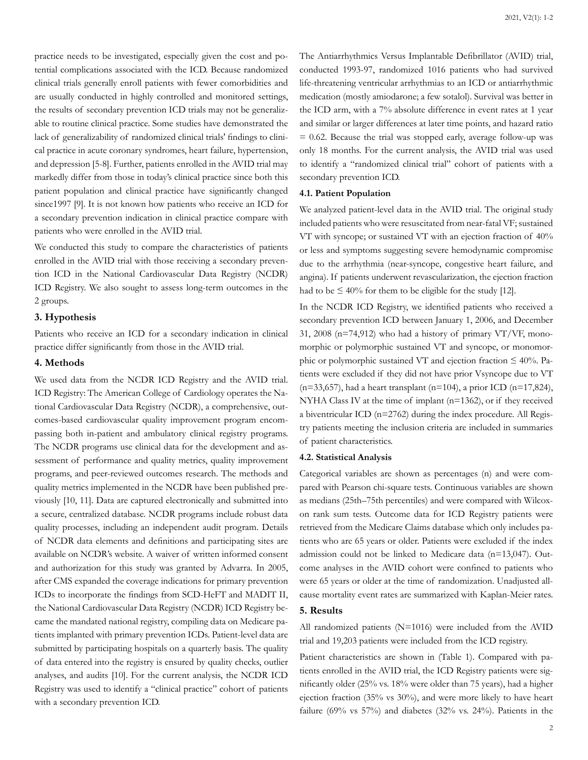practice needs to be investigated, especially given the cost and potential complications associated with the ICD. Because randomized clinical trials generally enroll patients with fewer comorbidities and are usually conducted in highly controlled and monitored settings, the results of secondary prevention ICD trials may not be generalizable to routine clinical practice. Some studies have demonstrated the lack of generalizability of randomized clinical trials' findings to clinical practice in acute coronary syndromes, heart failure, hypertension, and depression [5-8]. Further, patients enrolled in the AVID trial may markedly differ from those in today's clinical practice since both this patient population and clinical practice have significantly changed since1997 [9]. It is not known how patients who receive an ICD for a secondary prevention indication in clinical practice compare with patients who were enrolled in the AVID trial.

We conducted this study to compare the characteristics of patients enrolled in the AVID trial with those receiving a secondary prevention ICD in the National Cardiovascular Data Registry (NCDR) ICD Registry. We also sought to assess long-term outcomes in the 2 groups.

# **3. Hypothesis**

Patients who receive an ICD for a secondary indication in clinical practice differ significantly from those in the AVID trial.

# **4. Methods**

We used data from the NCDR ICD Registry and the AVID trial. ICD Registry: The American College of Cardiology operates the National Cardiovascular Data Registry (NCDR), a comprehensive, outcomes-based cardiovascular quality improvement program encompassing both in-patient and ambulatory clinical registry programs. The NCDR programs use clinical data for the development and assessment of performance and quality metrics, quality improvement programs, and peer-reviewed outcomes research. The methods and quality metrics implemented in the NCDR have been published previously [10, 11]. Data are captured electronically and submitted into a secure, centralized database. NCDR programs include robust data quality processes, including an independent audit program. Details of NCDR data elements and definitions and participating sites are available on NCDR's website. A waiver of written informed consent and authorization for this study was granted by Advarra. In 2005, after CMS expanded the coverage indications for primary prevention ICDs to incorporate the findings from SCD-HeFT and MADIT II, the National Cardiovascular Data Registry (NCDR) ICD Registry became the mandated national registry, compiling data on Medicare patients implanted with primary prevention ICDs. Patient-level data are submitted by participating hospitals on a quarterly basis. The quality of data entered into the registry is ensured by quality checks, outlier analyses, and audits [10]. For the current analysis, the NCDR ICD Registry was used to identify a "clinical practice" cohort of patients with a secondary prevention ICD.

The Antiarrhythmics Versus Implantable Defibrillator (AVID) trial, conducted 1993-97, randomized 1016 patients who had survived life-threatening ventricular arrhythmias to an ICD or antiarrhythmic medication (mostly amiodarone; a few sotalol). Survival was better in the ICD arm, with a 7% absolute difference in event rates at 1 year and similar or larger differences at later time points, and hazard ratio  $= 0.62$ . Because the trial was stopped early, average follow-up was only 18 months. For the current analysis, the AVID trial was used to identify a "randomized clinical trial" cohort of patients with a secondary prevention ICD.

#### **4.1. Patient Population**

We analyzed patient-level data in the AVID trial. The original study included patients who were resuscitated from near-fatal VF; sustained VT with syncope; or sustained VT with an ejection fraction of 40% or less and symptoms suggesting severe hemodynamic compromise due to the arrhythmia (near-syncope, congestive heart failure, and angina). If patients underwent revascularization, the ejection fraction had to be  $\leq 40\%$  for them to be eligible for the study [12].

In the NCDR ICD Registry, we identified patients who received a secondary prevention ICD between January 1, 2006, and December 31, 2008 ( $n=74,912$ ) who had a history of primary VT/VF, monomorphic or polymorphic sustained VT and syncope, or monomorphic or polymorphic sustained VT and ejection fraction  $\leq 40\%$ . Patients were excluded if they did not have prior Vsyncope due to VT  $(n=33,657)$ , had a heart transplant  $(n=104)$ , a prior ICD  $(n=17,824)$ , NYHA Class IV at the time of implant (n=1362), or if they received a biventricular ICD (n=2762) during the index procedure. All Registry patients meeting the inclusion criteria are included in summaries of patient characteristics.

## **4.2. Statistical Analysis**

Categorical variables are shown as percentages (n) and were compared with Pearson chi-square tests. Continuous variables are shown as medians (25th–75th percentiles) and were compared with Wilcoxon rank sum tests. Outcome data for ICD Registry patients were retrieved from the Medicare Claims database which only includes patients who are 65 years or older. Patients were excluded if the index admission could not be linked to Medicare data (n=13,047). Outcome analyses in the AVID cohort were confined to patients who were 65 years or older at the time of randomization. Unadjusted allcause mortality event rates are summarized with Kaplan-Meier rates.

#### **5. Results**

All randomized patients (N=1016) were included from the AVID trial and 19,203 patients were included from the ICD registry.

Patient characteristics are shown in (Table 1). Compared with patients enrolled in the AVID trial, the ICD Registry patients were significantly older (25% vs. 18% were older than 75 years), had a higher ejection fraction (35% vs 30%), and were more likely to have heart failure (69% vs 57%) and diabetes (32% vs. 24%). Patients in the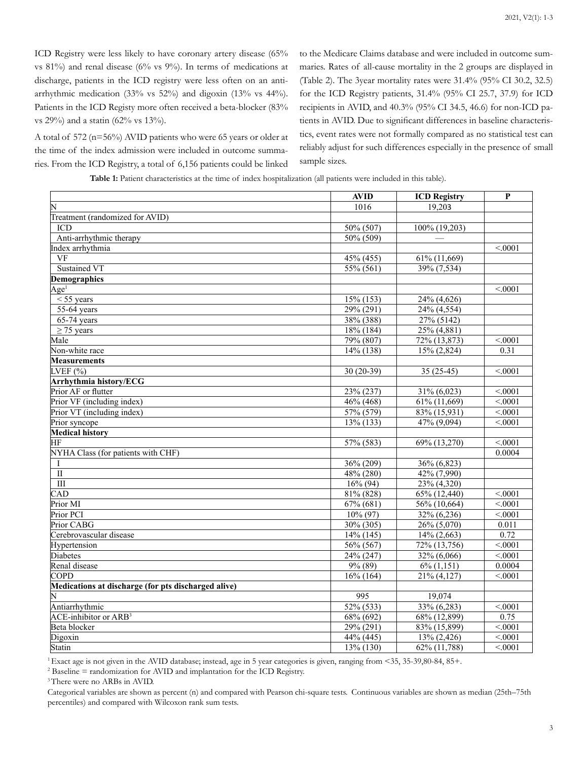ICD Registry were less likely to have coronary artery disease (65% vs 81%) and renal disease (6% vs 9%). In terms of medications at discharge, patients in the ICD registry were less often on an antiarrhythmic medication (33% vs 52%) and digoxin (13% vs 44%). Patients in the ICD Registy more often received a beta-blocker (83% vs 29%) and a statin (62% vs 13%).

A total of 572 (n=56%) AVID patients who were 65 years or older at the time of the index admission were included in outcome summaries. From the ICD Registry, a total of 6,156 patients could be linked to the Medicare Claims database and were included in outcome summaries. Rates of all-cause mortality in the 2 groups are displayed in (Table 2). The 3year mortality rates were 31.4% (95% CI 30.2, 32.5) for the ICD Registry patients, 31.4% (95% CI 25.7, 37.9) for ICD recipients in AVID, and 40.3% (95% CI 34.5, 46.6) for non-ICD patients in AVID. Due to significant differences in baseline characteristics, event rates were not formally compared as no statistical test can reliably adjust for such differences especially in the presence of small sample sizes.

**Table 1:** Patient characteristics at the time of index hospitalization (all patients were included in this table).

|                                                     | <b>AVID</b>            | <b>ICD Registry</b>       | P                  |
|-----------------------------------------------------|------------------------|---------------------------|--------------------|
| ΙN                                                  | 1016                   | 19,203                    |                    |
| Treatment (randomized for AVID)                     |                        |                           |                    |
| ICD                                                 | 50% (507)              | 100% (19,203)             |                    |
| Anti-arrhythmic therapy                             | 50% (509)              |                           |                    |
| Index arrhythmia                                    |                        |                           | < 0.001            |
| $\overline{\rm VF}$                                 | 45% (455)              | 61% (11,669)              |                    |
| <b>Sustained VT</b>                                 | $55\% (561)$           | 39% (7,534)               |                    |
| <b>Demographics</b>                                 |                        |                           |                    |
| $Age$ <sup>1</sup>                                  |                        |                           | < 0.001            |
| $<$ 55 years                                        | 15% (153)              | 24% (4,626)               |                    |
| 55-64 years                                         | $29\% (291)$           | 24% (4,554)               |                    |
| $65-74$ years                                       | 38% (388)              | 27% (5142)                |                    |
| $\geq$ 75 years                                     | $18\%$ (184)           | $\overline{25\% (4,881)}$ |                    |
| Male                                                | 79% (807)              | 72% (13,873)              | < 0001             |
| Non-white race                                      | $14\%$ (138)           | $15\% (2,824)$            | 0.31               |
| <b>Measurements</b>                                 |                        |                           |                    |
| LVEF(%)                                             | $30(20-39)$            | $35(25-45)$               | < 0.001            |
| <b>Arrhythmia history/ECG</b>                       |                        |                           |                    |
| Prior AF or flutter                                 | 23% (237)              | $31\% (6,023)$            | < 0.001            |
| Prior VF (including index)                          | $46\% (468)$           | 61% (11,669)              | < 0001             |
| Prior VT (including index)                          | 57% (579)              | 83% (15,931)              | < 0001             |
| Prior syncope                                       | $13\%$ (133)           | 47% (9,094)               | < 0.001            |
| <b>Medical history</b>                              |                        |                           |                    |
| ΗF                                                  | 57% (583)              | 69% (13,270)              | < 0001             |
| NYHA Class (for patients with CHF)                  |                        |                           | 0.0004             |
| Ι                                                   | 36% (209)              | 36% (6,823)               |                    |
| $\overline{\rm II}$                                 | $48\% (280)$           | 42% (7,990)               |                    |
| $\overline{III}$                                    | $16\%$ (94)            | 23% (4,320)               |                    |
| CAD                                                 | 81% (828)              | 65% (12,440)              | < 0001             |
| Prior MI                                            | $67\% (681)$           | 56% (10,664)              | $\overline{<0001}$ |
| Prior PCI                                           | $\overline{10\%}$ (97) | $\frac{1}{32\% (6,236)}$  | < 0.001            |
| Prior CABG                                          | $30\% (305)$           | $26\% (5,070)$            | 0.011              |
| Cerebrovascular disease                             | $14\%$ (145)           | $14\% (2,663)$            | 0.72               |
| Hypertension                                        | 56% (567)              | 72% (13,756)              | < 0001             |
| <b>Diabetes</b>                                     | 24% (247)              | 32% (6,066)               | < .0001            |
| Renal disease                                       | $9\%$ (89)             | $6\%$ $(1,151)$           | 0.0004             |
| <b>COPD</b>                                         | $16\%$ (164)           | 21% (4,127)               | < 0001             |
| Medications at discharge (for pts discharged alive) |                        |                           |                    |
| N                                                   | 995                    | 19,074                    |                    |
| Antiarrhythmic                                      | $52\%$ (533)           | 33% (6,283)               | < 0001             |
| <b>ACE-inhibitor or ARB<sup>3</sup></b>             | $68\% (692)$           | 68% (12,899)              | 0.75               |
| Beta blocker                                        | $29\% (291)$           | 83% (15,899)              | < 0.001            |
| Digoxin                                             | $44\%$ (445)           | $13\% (2,426)$            | < 0001             |
| Statin                                              | 13% (130)              | 62% (11,788)              | < 0001             |

<sup>1</sup>Exact age is not given in the AVID database; instead, age in 5 year categories is given, ranging from <35, 35-39,80-84, 85+.

 $^2$  Baseline = randomization for AVID and implantation for the ICD Registry.

<sup>3</sup> There were no ARBs in AVID.

Categorical variables are shown as percent (n) and compared with Pearson chi-square tests. Continuous variables are shown as median (25th–75th percentiles) and compared with Wilcoxon rank sum tests.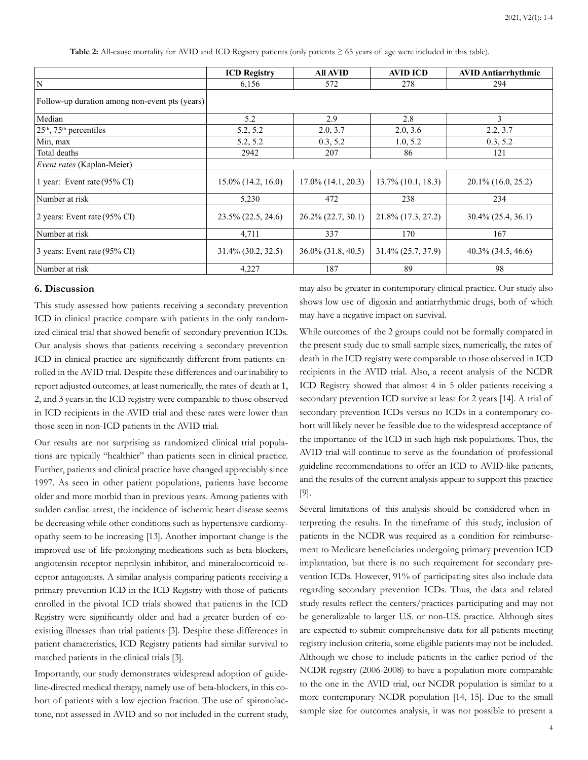**Table 2:** All-cause mortality for AVID and ICD Registry patients (only patients ≥ 65 years of age were included in this table).

|                                                | <b>ICD Registry</b>   | All AVID                | <b>AVID ICD</b>       | <b>AVID Antiarrhythmic</b> |
|------------------------------------------------|-----------------------|-------------------------|-----------------------|----------------------------|
| $\mathbf N$                                    | 6,156                 | 572                     | 278                   | 294                        |
| Follow-up duration among non-event pts (years) |                       |                         |                       |                            |
| Median                                         | 5.2                   | 2.9                     | 2.8                   | 3                          |
| $25th$ , 75 <sup>th</sup> percentiles          | 5.2, 5.2              | 2.0, 3.7                | 2.0, 3.6              | 2.2, 3.7                   |
| Min, max                                       | 5.2, 5.2              | 0.3, 5.2                | 1.0, 5.2              | 0.3, 5.2                   |
| Total deaths                                   | 2942                  | 207                     | 86                    | 121                        |
| <i>Event rates</i> (Kaplan-Meier)              |                       |                         |                       |                            |
| 1 year: Event rate $(95\% \text{ CI})$         | $15.0\%$ (14.2, 16.0) | $17.0\%$ (14.1, 20.3)   | $13.7\%$ (10.1, 18.3) | $20.1\%$ (16.0, 25.2)      |
| Number at risk                                 | 5,230                 | 472                     | 238                   | 234                        |
| 2 years: Event rate $(95\% \text{ CI})$        | $23.5\%$ (22.5, 24.6) | $26.2\% (22.7, 30.1)$   | 21.8% (17.3, 27.2)    | $30.4\%$ (25.4, 36.1)      |
| Number at risk                                 | 4,711                 | 337                     | 170                   | 167                        |
| 3 years: Event rate (95% CI)                   | $31.4\%$ (30.2, 32.5) | $36.0\%$ $(31.8, 40.5)$ | $31.4\% (25.7, 37.9)$ | $40.3\%$ (34.5, 46.6)      |
| Number at risk                                 | 4,227                 | 187                     | 89                    | 98                         |

#### **6. Discussion**

This study assessed how patients receiving a secondary prevention ICD in clinical practice compare with patients in the only randomized clinical trial that showed benefit of secondary prevention ICDs. Our analysis shows that patients receiving a secondary prevention ICD in clinical practice are significantly different from patients enrolled in the AVID trial. Despite these differences and our inability to report adjusted outcomes, at least numerically, the rates of death at 1, 2, and 3 years in the ICD registry were comparable to those observed in ICD recipients in the AVID trial and these rates were lower than those seen in non-ICD patients in the AVID trial.

Our results are not surprising as randomized clinical trial populations are typically "healthier" than patients seen in clinical practice. Further, patients and clinical practice have changed appreciably since 1997. As seen in other patient populations, patients have become older and more morbid than in previous years. Among patients with sudden cardiac arrest, the incidence of ischemic heart disease seems be decreasing while other conditions such as hypertensive cardiomyopathy seem to be increasing [13]. Another important change is the improved use of life-prolonging medications such as beta-blockers, angiotensin receptor neprilysin inhibitor, and mineralocorticoid receptor antagonists. A similar analysis comparing patients receiving a primary prevention ICD in the ICD Registry with those of patients enrolled in the pivotal ICD trials showed that patients in the ICD Registry were significantly older and had a greater burden of coexisting illnesses than trial patients [3]. Despite these differences in patient characteristics, ICD Registry patients had similar survival to matched patients in the clinical trials [3].

Importantly, our study demonstrates widespread adoption of guideline-directed medical therapy, namely use of beta-blockers, in this cohort of patients with a low ejection fraction. The use of spironolactone, not assessed in AVID and so not included in the current study, may also be greater in contemporary clinical practice. Our study also shows low use of digoxin and antiarrhythmic drugs, both of which may have a negative impact on survival.

While outcomes of the 2 groups could not be formally compared in the present study due to small sample sizes, numerically, the rates of death in the ICD registry were comparable to those observed in ICD recipients in the AVID trial. Also, a recent analysis of the NCDR ICD Registry showed that almost 4 in 5 older patients receiving a secondary prevention ICD survive at least for 2 years [14]. A trial of secondary prevention ICDs versus no ICDs in a contemporary cohort will likely never be feasible due to the widespread acceptance of the importance of the ICD in such high-risk populations. Thus, the AVID trial will continue to serve as the foundation of professional guideline recommendations to offer an ICD to AVID-like patients, and the results of the current analysis appear to support this practice [9].

Several limitations of this analysis should be considered when interpreting the results. In the timeframe of this study, inclusion of patients in the NCDR was required as a condition for reimbursement to Medicare beneficiaries undergoing primary prevention ICD implantation, but there is no such requirement for secondary prevention ICDs. However, 91% of participating sites also include data regarding secondary prevention ICDs. Thus, the data and related study results reflect the centers/practices participating and may not be generalizable to larger U.S. or non-U.S. practice. Although sites are expected to submit comprehensive data for all patients meeting registry inclusion criteria, some eligible patients may not be included. Although we chose to include patients in the earlier period of the NCDR registry (2006-2008) to have a population more comparable to the one in the AVID trial, our NCDR population is similar to a more contemporary NCDR population [14, 15]. Due to the small sample size for outcomes analysis, it was not possible to present a